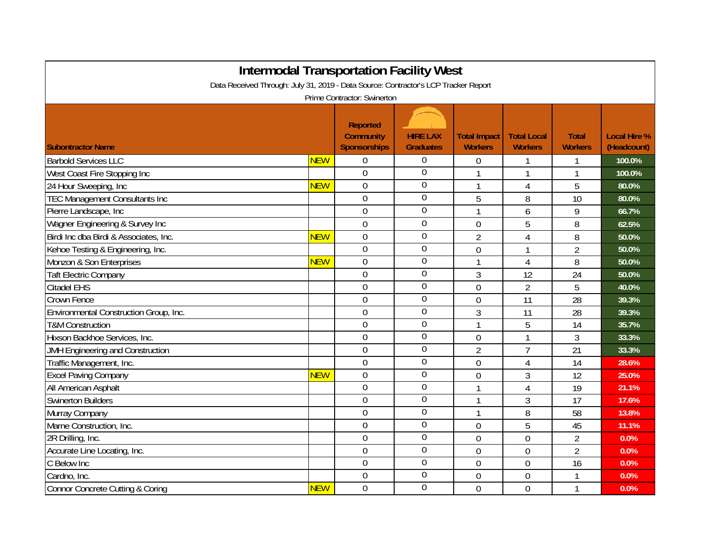| <b>Intermodal Transportation Facility West</b><br>Data Received Through: July 31, 2019 - Data Source: Contractor's LCP Tracker Report |            |                                                            |                                     |                                       |                                      |                                |                                    |  |  |  |  |  |
|---------------------------------------------------------------------------------------------------------------------------------------|------------|------------------------------------------------------------|-------------------------------------|---------------------------------------|--------------------------------------|--------------------------------|------------------------------------|--|--|--|--|--|
| Prime Contractor: Swinerton                                                                                                           |            |                                                            |                                     |                                       |                                      |                                |                                    |  |  |  |  |  |
| <b>Subontractor Name</b>                                                                                                              |            | <b>Reported</b><br><b>Community</b><br><b>Sponsorships</b> | <b>HIRE LAX</b><br><b>Graduates</b> | <b>Total Impact</b><br><b>Workers</b> | <b>Total Local</b><br><b>Workers</b> | <b>Total</b><br><b>Workers</b> | <b>Local Hire %</b><br>(Headcount) |  |  |  |  |  |
| <b>Barbold Services LLC</b>                                                                                                           | <b>NEW</b> | 0                                                          | $\overline{0}$                      | $\boldsymbol{0}$                      |                                      | 1                              | $100.0\%$                          |  |  |  |  |  |
| West Coast Fire Stopping Inc                                                                                                          |            | $\mathbf 0$                                                | $\overline{0}$                      | 1                                     |                                      | 1                              | 100.0%                             |  |  |  |  |  |
| 24 Hour Sweeping, Inc                                                                                                                 | <b>NEW</b> | 0                                                          | $\boldsymbol{0}$                    | 1                                     | 4                                    | 5                              | 80.0%                              |  |  |  |  |  |
| <b>TEC Management Consultants Inc</b>                                                                                                 |            | $\overline{0}$                                             | $\overline{0}$                      | 5                                     | 8                                    | 10                             | 80.0%                              |  |  |  |  |  |
| Pierre Landscape, Inc                                                                                                                 |            | 0                                                          | $\mathbf 0$                         | 1                                     | 6                                    | 9                              | 66.7%                              |  |  |  |  |  |
| Wagner Engineering & Survey Inc                                                                                                       |            | $\mathbf 0$                                                | $\mathbf 0$                         | $\overline{0}$                        | 5                                    | 8                              | 62.5%                              |  |  |  |  |  |
| Birdi Inc dba Birdi & Associates, Inc.                                                                                                | <b>NEW</b> | $\overline{0}$                                             | $\overline{0}$                      | $\overline{2}$                        | $\overline{4}$                       | 8                              | 50.0%                              |  |  |  |  |  |
| Kehoe Testing & Engineering, Inc.                                                                                                     |            | $\overline{0}$                                             | $\overline{0}$                      | $\overline{0}$                        |                                      | $\overline{2}$                 | 50.0%                              |  |  |  |  |  |
| Monzon & Son Enterprises                                                                                                              | <b>NEW</b> | $\overline{0}$                                             | $\mathbf 0$                         | 1                                     | $\overline{4}$                       | 8                              | 50.0%                              |  |  |  |  |  |
| <b>Taft Electric Company</b>                                                                                                          |            | $\overline{0}$                                             | $\overline{0}$                      | 3                                     | 12                                   | 24                             | 50.0%                              |  |  |  |  |  |
| <b>Citadel EHS</b>                                                                                                                    |            | $\overline{0}$                                             | $\overline{0}$                      | $\overline{0}$                        | $\overline{2}$                       | 5                              | 40.0%                              |  |  |  |  |  |
| Crown Fence                                                                                                                           |            | $\overline{0}$                                             | $\overline{0}$                      | $\overline{0}$                        | 11                                   | 28                             | 39.3%                              |  |  |  |  |  |
| Environmental Construction Group, Inc.                                                                                                |            | 0                                                          | $\overline{0}$                      | 3                                     | 11                                   | 28                             | 39.3%                              |  |  |  |  |  |
| <b>T&amp;M Construction</b>                                                                                                           |            | 0                                                          | $\overline{0}$                      | 1                                     | 5                                    | 14                             | 35.7%                              |  |  |  |  |  |
| Hixson Backhoe Services, Inc.                                                                                                         |            | 0                                                          | $\overline{0}$                      | 0                                     | 1                                    | 3                              | 33.3%                              |  |  |  |  |  |
| JMH Engineering and Construction                                                                                                      |            | 0                                                          | $\overline{0}$                      | $\overline{2}$                        | $\overline{7}$                       | 21                             | 33.3%                              |  |  |  |  |  |
| Traffic Management, Inc.                                                                                                              |            | $\overline{0}$                                             | $\overline{0}$                      | $\overline{0}$                        | 4                                    | 14                             | 28.6%                              |  |  |  |  |  |
| <b>Excel Paving Company</b>                                                                                                           | <b>NEW</b> | 0                                                          | $\overline{0}$                      | $\overline{0}$                        | 3                                    | 12                             | 25.0%                              |  |  |  |  |  |
| All American Asphalt                                                                                                                  |            | 0                                                          | $\overline{0}$                      | 1                                     | $\overline{4}$                       | 19                             | 21.1%                              |  |  |  |  |  |
| <b>Swinerton Builders</b>                                                                                                             |            | $\overline{0}$                                             | $\overline{0}$                      | 1                                     | 3                                    | 17                             | 17.6%                              |  |  |  |  |  |
| Murray Company                                                                                                                        |            | 0                                                          | $\mathbf 0$                         | 1                                     | 8                                    | 58                             | 13.8%                              |  |  |  |  |  |
| Marne Construction, Inc.                                                                                                              |            | $\overline{0}$                                             | $\mathbf 0$                         | $\overline{0}$                        | 5                                    | 45                             | 11.1%                              |  |  |  |  |  |
| 2R Drilling, Inc.                                                                                                                     |            | $\overline{0}$                                             | $\boldsymbol{0}$                    | $\overline{0}$                        | $\overline{0}$                       | $\overline{2}$                 | 0.0%                               |  |  |  |  |  |
| Accurate Line Locating, Inc.                                                                                                          |            | $\overline{0}$                                             | $\overline{0}$                      | $\overline{0}$                        | $\overline{0}$                       | $\overline{2}$                 | 0.0%                               |  |  |  |  |  |
| C Below Inc                                                                                                                           |            | $\overline{0}$                                             | $\overline{0}$                      | $\overline{0}$                        | $\overline{0}$                       | 16                             | 0.0%                               |  |  |  |  |  |
| Cardno, Inc.                                                                                                                          |            | $\overline{0}$                                             | $\mathbf 0$                         | 0                                     | $\overline{0}$                       | 1                              | 0.0%                               |  |  |  |  |  |
| <b>Connor Concrete Cutting &amp; Coring</b>                                                                                           | <b>NEW</b> | $\overline{0}$                                             | $\overline{0}$                      | $\overline{0}$                        | $\overline{0}$                       | 1                              | 0.0%                               |  |  |  |  |  |